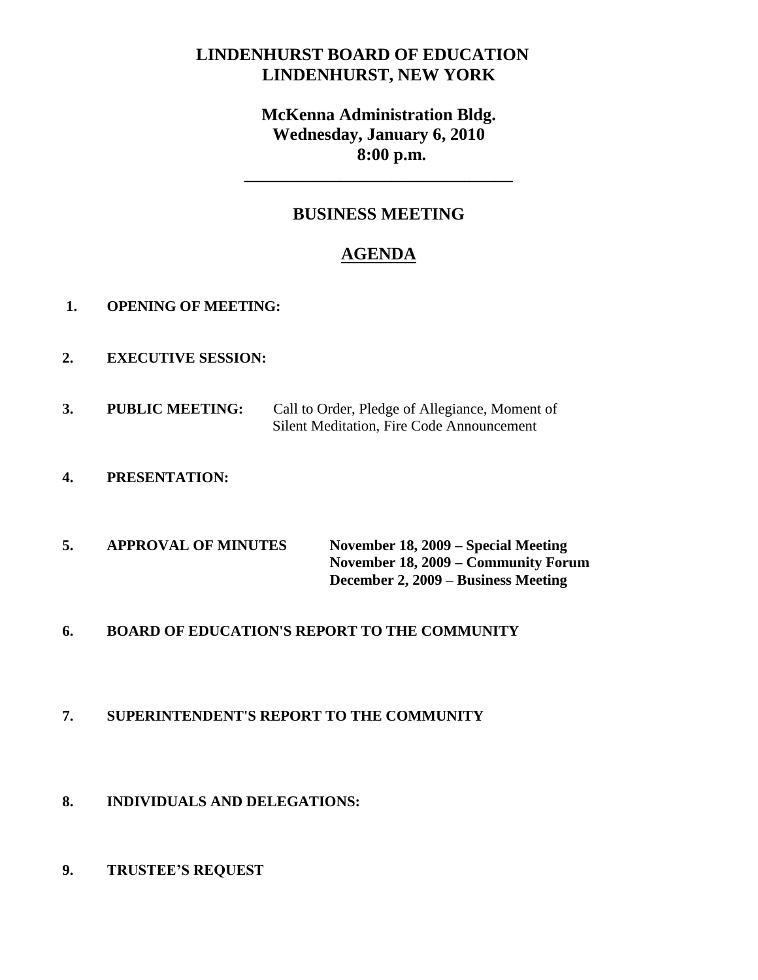# **LINDENHURST BOARD OF EDUCATION LINDENHURST, NEW YORK**

# **McKenna Administration Bldg. Wednesday, January 6, 2010 8:00 p.m.**

**\_\_\_\_\_\_\_\_\_\_\_\_\_\_\_\_\_\_\_\_\_\_\_\_\_\_\_\_\_\_\_**

## **BUSINESS MEETING**

# **AGENDA**

- **1. OPENING OF MEETING:**
- **2. EXECUTIVE SESSION:**
- **3. PUBLIC MEETING:** Call to Order, Pledge of Allegiance, Moment of Silent Meditation, Fire Code Announcement
- **4. PRESENTATION:**
- **5. APPROVAL OF MINUTES November 18, 2009 – Special Meeting November 18, 2009 – Community Forum December 2, 2009 – Business Meeting**
- **6. BOARD OF EDUCATION'S REPORT TO THE COMMUNITY**

## **7. SUPERINTENDENT'S REPORT TO THE COMMUNITY**

- **8. INDIVIDUALS AND DELEGATIONS:**
- **9. TRUSTEE'S REQUEST**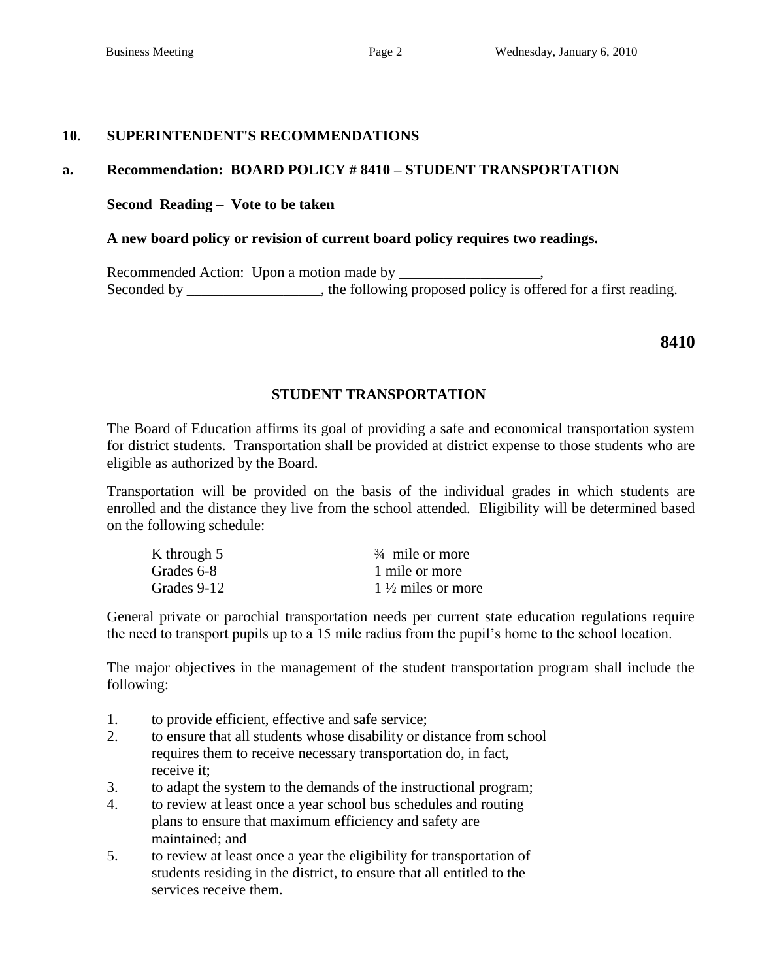#### **10. SUPERINTENDENT'S RECOMMENDATIONS**

#### **a. Recommendation: BOARD POLICY # 8410 – STUDENT TRANSPORTATION**

#### **Second Reading – Vote to be taken**

#### **A new board policy or revision of current board policy requires two readings.**

Recommended Action: Upon a motion made by \_\_\_\_\_\_\_\_\_\_\_\_\_\_\_\_\_\_\_, Seconded by \_\_\_\_\_\_\_\_\_\_\_\_, the following proposed policy is offered for a first reading.

**8410**

#### **STUDENT TRANSPORTATION**

The Board of Education affirms its goal of providing a safe and economical transportation system for district students. Transportation shall be provided at district expense to those students who are eligible as authorized by the Board.

Transportation will be provided on the basis of the individual grades in which students are enrolled and the distance they live from the school attended. Eligibility will be determined based on the following schedule:

| K through 5 | $\frac{3}{4}$ mile or more   |
|-------------|------------------------------|
| Grades 6-8  | 1 mile or more               |
| Grades 9-12 | $1\frac{1}{2}$ miles or more |

General private or parochial transportation needs per current state education regulations require the need to transport pupils up to a 15 mile radius from the pupil's home to the school location.

The major objectives in the management of the student transportation program shall include the following:

- 1. to provide efficient, effective and safe service;
- 2. to ensure that all students whose disability or distance from school requires them to receive necessary transportation do, in fact, receive it;
- 3. to adapt the system to the demands of the instructional program;
- 4. to review at least once a year school bus schedules and routing plans to ensure that maximum efficiency and safety are maintained; and
- 5. to review at least once a year the eligibility for transportation of students residing in the district, to ensure that all entitled to the services receive them.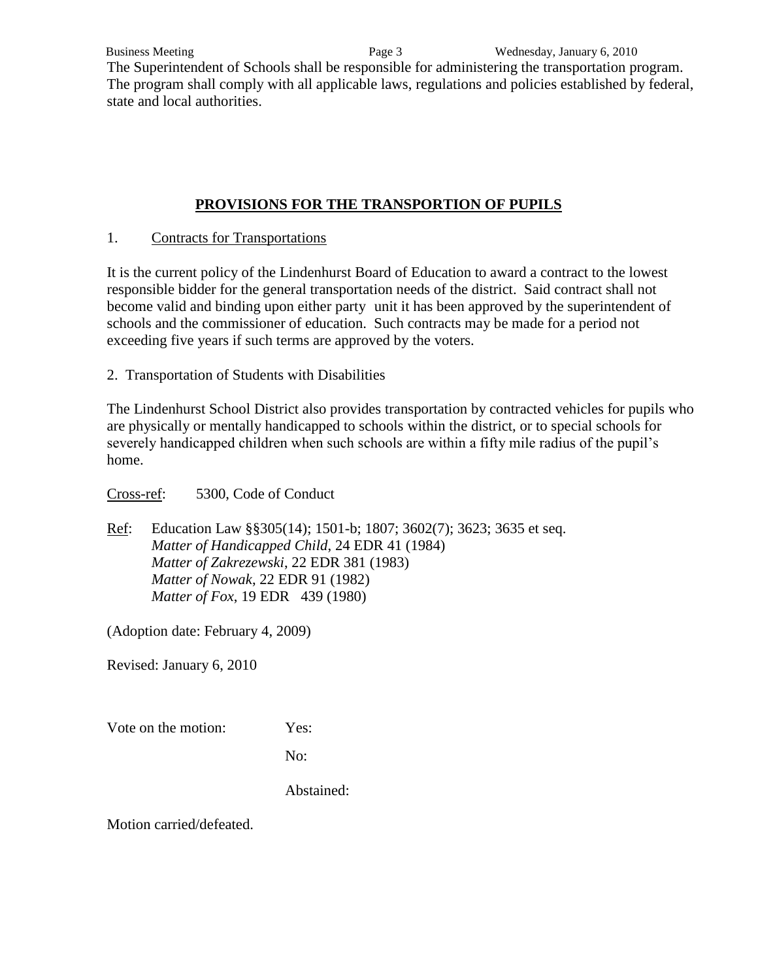The Superintendent of Schools shall be responsible for administering the transportation program. The program shall comply with all applicable laws, regulations and policies established by federal, state and local authorities.

## **PROVISIONS FOR THE TRANSPORTION OF PUPILS**

## 1. Contracts for Transportations

It is the current policy of the Lindenhurst Board of Education to award a contract to the lowest responsible bidder for the general transportation needs of the district. Said contract shall not become valid and binding upon either party unit it has been approved by the superintendent of schools and the commissioner of education. Such contracts may be made for a period not exceeding five years if such terms are approved by the voters.

2. Transportation of Students with Disabilities

The Lindenhurst School District also provides transportation by contracted vehicles for pupils who are physically or mentally handicapped to schools within the district, or to special schools for severely handicapped children when such schools are within a fifty mile radius of the pupil's home.

Cross-ref: 5300, Code of Conduct

Ref: Education Law §§305(14); 1501-b; 1807; 3602(7); 3623; 3635 et seq. *Matter of Handicapped Child*, 24 EDR 41 (1984) *Matter of Zakrezewski*, 22 EDR 381 (1983) *Matter of Nowak*, 22 EDR 91 (1982) *Matter of Fox*, 19 EDR 439 (1980)

(Adoption date: February 4, 2009)

Revised: January 6, 2010

Vote on the motion: Yes:

No:

Abstained: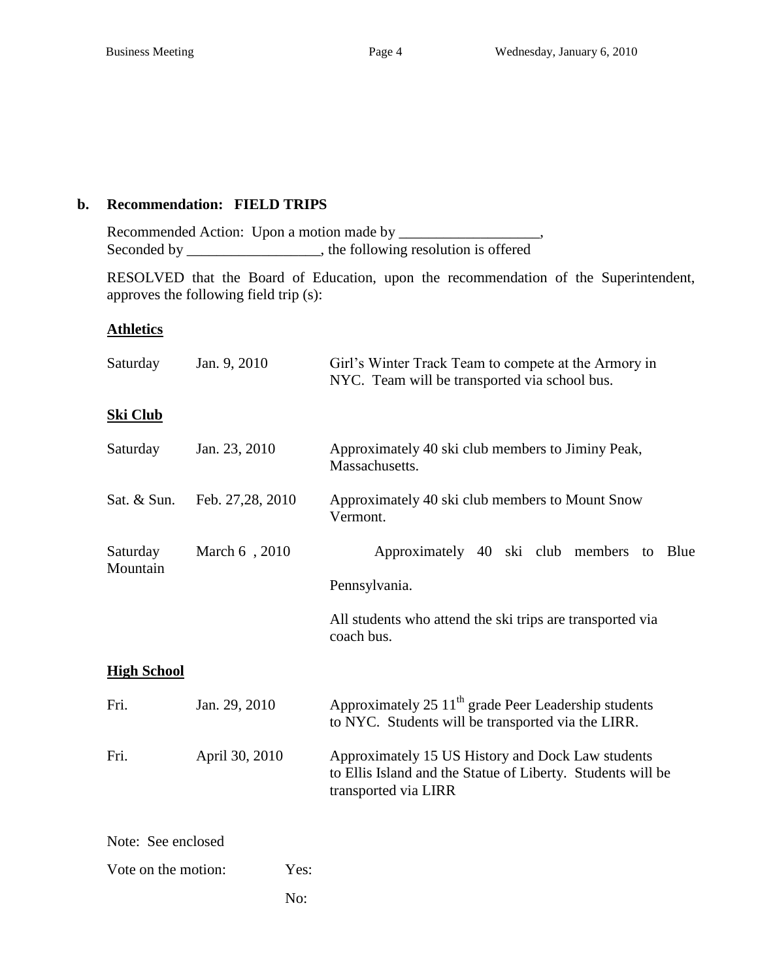### **b. Recommendation: FIELD TRIPS**

Recommended Action: Upon a motion made by \_\_\_\_\_\_\_\_\_\_\_\_\_\_\_\_\_\_\_, Seconded by \_\_\_\_\_\_\_\_\_\_\_\_\_\_\_, the following resolution is offered

RESOLVED that the Board of Education, upon the recommendation of the Superintendent, approves the following field trip (s):

## **Athletics**

| Saturday             | Jan. 9, 2010     | Girl's Winter Track Team to compete at the Armory in<br>NYC. Team will be transported via school bus.                                    |  |  |  |
|----------------------|------------------|------------------------------------------------------------------------------------------------------------------------------------------|--|--|--|
| <b>Ski Club</b>      |                  |                                                                                                                                          |  |  |  |
| Saturday             | Jan. 23, 2010    | Approximately 40 ski club members to Jiminy Peak,<br>Massachusetts.                                                                      |  |  |  |
| Sat. & Sun.          | Feb. 27,28, 2010 | Approximately 40 ski club members to Mount Snow<br>Vermont.                                                                              |  |  |  |
| Saturday<br>Mountain | March 6, 2010    | Approximately 40 ski club members<br>Blue<br>to                                                                                          |  |  |  |
|                      |                  | Pennsylvania.                                                                                                                            |  |  |  |
|                      |                  | All students who attend the ski trips are transported via<br>coach bus.                                                                  |  |  |  |
| <b>High School</b>   |                  |                                                                                                                                          |  |  |  |
| Fri.                 | Jan. 29, 2010    | Approximately 25 11 <sup>th</sup> grade Peer Leadership students<br>to NYC. Students will be transported via the LIRR.                   |  |  |  |
| Fri.                 | April 30, 2010   | Approximately 15 US History and Dock Law students<br>to Ellis Island and the Statue of Liberty. Students will be<br>transported via LIRR |  |  |  |
| Note: See enclosed   |                  |                                                                                                                                          |  |  |  |

Vote on the motion: Yes:

No: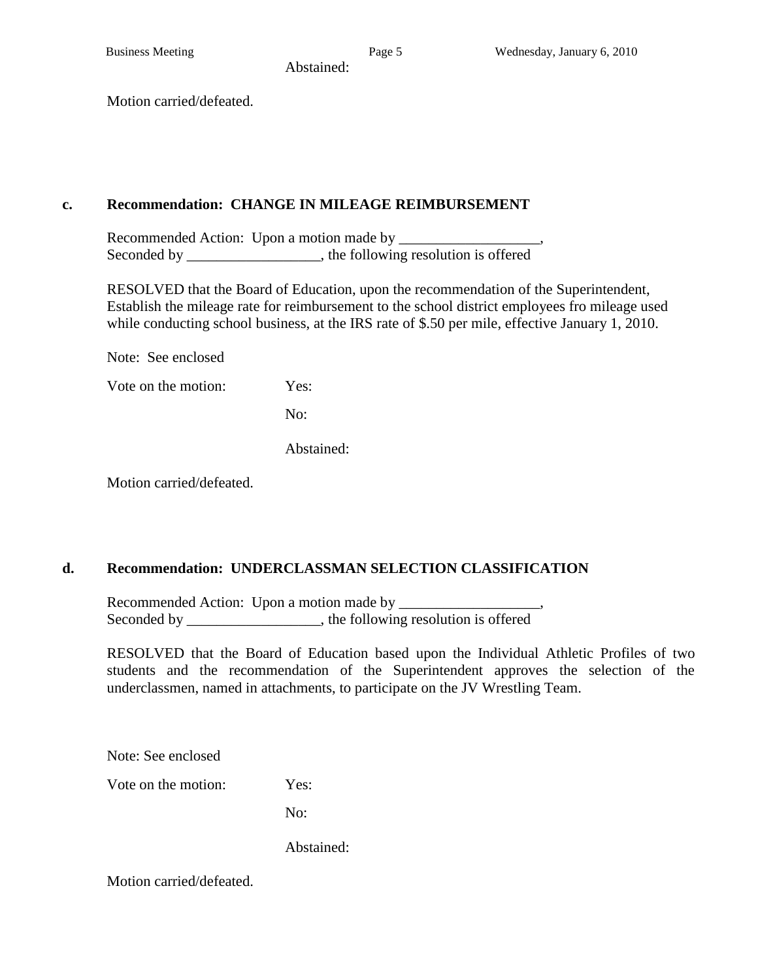Abstained:

Motion carried/defeated.

#### **c. Recommendation: CHANGE IN MILEAGE REIMBURSEMENT**

Recommended Action: Upon a motion made by Seconded by \_\_\_\_\_\_\_\_\_\_\_\_\_\_\_, the following resolution is offered

RESOLVED that the Board of Education, upon the recommendation of the Superintendent, Establish the mileage rate for reimbursement to the school district employees fro mileage used while conducting school business, at the IRS rate of \$.50 per mile, effective January 1, 2010.

Note: See enclosed

Vote on the motion: Yes:

No:

Abstained:

Motion carried/defeated.

## **d. Recommendation: UNDERCLASSMAN SELECTION CLASSIFICATION**

Recommended Action: Upon a motion made by Seconded by \_\_\_\_\_\_\_\_\_\_\_\_\_\_\_\_, the following resolution is offered

RESOLVED that the Board of Education based upon the Individual Athletic Profiles of two students and the recommendation of the Superintendent approves the selection of the underclassmen, named in attachments, to participate on the JV Wrestling Team.

Note: See enclosed

Vote on the motion: Yes:

No:

Abstained: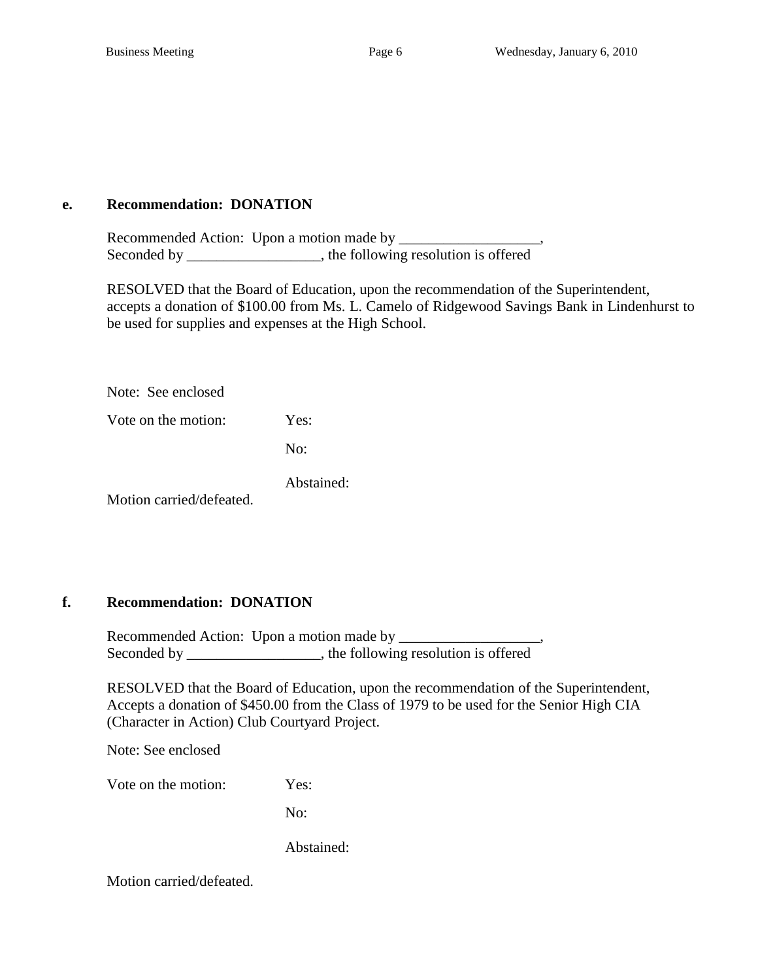#### **e. Recommendation: DONATION**

Recommended Action: Upon a motion made by \_\_\_\_\_\_\_\_\_\_\_\_\_\_\_\_\_\_\_, Seconded by \_\_\_\_\_\_\_\_\_\_\_\_\_\_\_, the following resolution is offered

RESOLVED that the Board of Education, upon the recommendation of the Superintendent, accepts a donation of \$100.00 from Ms. L. Camelo of Ridgewood Savings Bank in Lindenhurst to be used for supplies and expenses at the High School.

Note: See enclosed

Vote on the motion: Yes:

No:

Abstained:

Motion carried/defeated.

#### **f. Recommendation: DONATION**

Recommended Action: Upon a motion made by \_\_\_\_\_\_\_\_\_\_\_\_\_\_\_\_\_\_\_, Seconded by \_\_\_\_\_\_\_\_\_\_\_\_\_\_\_, the following resolution is offered

RESOLVED that the Board of Education, upon the recommendation of the Superintendent, Accepts a donation of \$450.00 from the Class of 1979 to be used for the Senior High CIA (Character in Action) Club Courtyard Project.

Note: See enclosed

Vote on the motion: Yes:

No:

Abstained: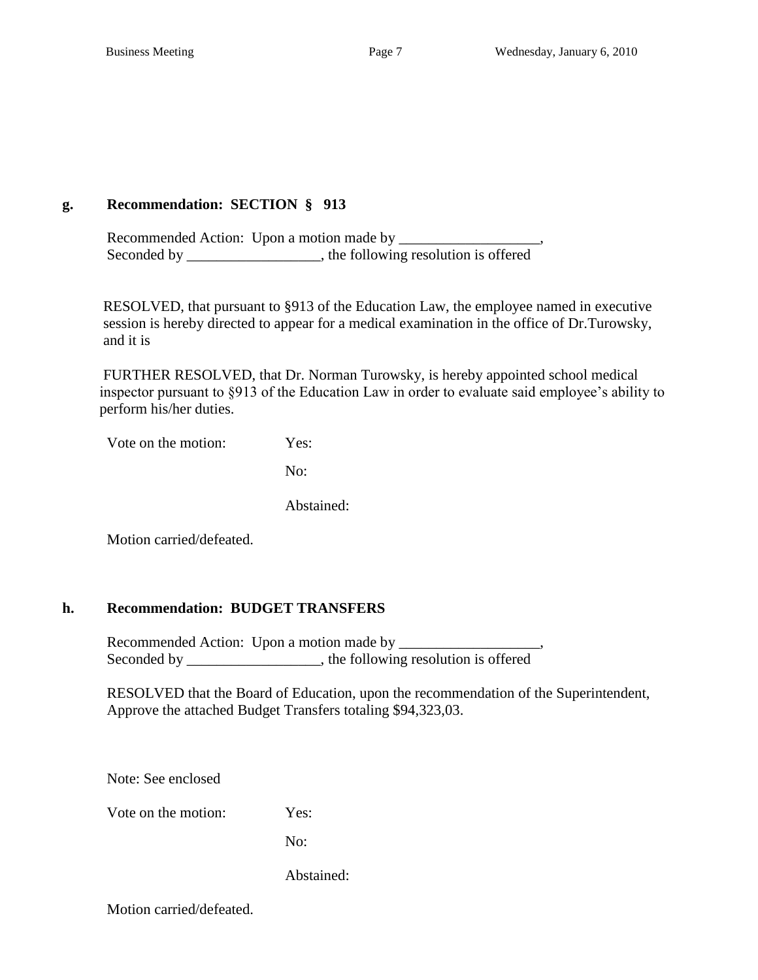## **g. Recommendation: SECTION § 913**

Recommended Action: Upon a motion made by \_\_\_\_\_\_\_\_\_\_\_\_\_\_\_\_\_\_\_, Seconded by \_\_\_\_\_\_\_\_\_\_\_\_\_\_\_, the following resolution is offered

 RESOLVED, that pursuant to §913 of the Education Law, the employee named in executive session is hereby directed to appear for a medical examination in the office of Dr.Turowsky, and it is

 FURTHER RESOLVED, that Dr. Norman Turowsky, is hereby appointed school medical inspector pursuant to §913 of the Education Law in order to evaluate said employee's ability to perform his/her duties.

Vote on the motion: Yes:

No:

Abstained:

Motion carried/defeated.

## **h. Recommendation: BUDGET TRANSFERS**

Recommended Action: Upon a motion made by \_\_\_\_\_\_\_\_\_\_\_\_\_\_\_\_\_\_\_, Seconded by \_\_\_\_\_\_\_\_\_\_\_\_\_\_\_\_, the following resolution is offered

RESOLVED that the Board of Education, upon the recommendation of the Superintendent, Approve the attached Budget Transfers totaling \$94,323,03.

Note: See enclosed

Vote on the motion: Yes:

No:

Abstained: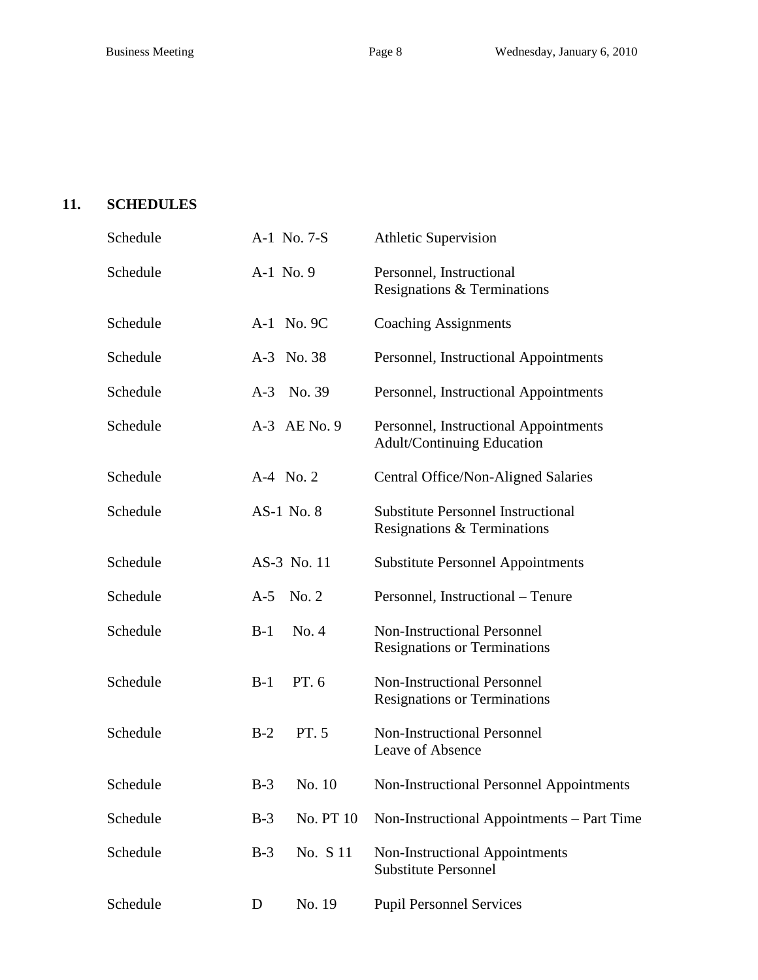## **11. SCHEDULES**

| Schedule |            | A-1 No. 7-S  | <b>Athletic Supervision</b>                                                |  |
|----------|------------|--------------|----------------------------------------------------------------------------|--|
| Schedule | A-1 No. 9  |              | Personnel, Instructional<br>Resignations & Terminations                    |  |
| Schedule |            | A-1 No. 9C   | <b>Coaching Assignments</b>                                                |  |
| Schedule |            | A-3 No. 38   | Personnel, Instructional Appointments                                      |  |
| Schedule |            | A-3 No. 39   | Personnel, Instructional Appointments                                      |  |
| Schedule |            | A-3 AE No. 9 | Personnel, Instructional Appointments<br><b>Adult/Continuing Education</b> |  |
| Schedule | A-4 No. 2  |              | Central Office/Non-Aligned Salaries                                        |  |
| Schedule | AS-1 No. 8 |              | <b>Substitute Personnel Instructional</b><br>Resignations & Terminations   |  |
| Schedule |            | AS-3 No. 11  | <b>Substitute Personnel Appointments</b>                                   |  |
| Schedule | A-5 No. 2  |              | Personnel, Instructional – Tenure                                          |  |
| Schedule | $B-1$      | No. 4        | <b>Non-Instructional Personnel</b><br><b>Resignations or Terminations</b>  |  |
| Schedule | $B-1$      | PT. 6        | <b>Non-Instructional Personnel</b><br><b>Resignations or Terminations</b>  |  |
| Schedule | $B-2$      | PT. 5        | <b>Non-Instructional Personnel</b><br>Leave of Absence                     |  |
| Schedule | $B-3$      | No. 10       | <b>Non-Instructional Personnel Appointments</b>                            |  |
| Schedule | $B-3$      | No. PT 10    | Non-Instructional Appointments – Part Time                                 |  |
| Schedule | $B-3$      | No. S 11     | Non-Instructional Appointments<br><b>Substitute Personnel</b>              |  |
| Schedule | D          | No. 19       | <b>Pupil Personnel Services</b>                                            |  |